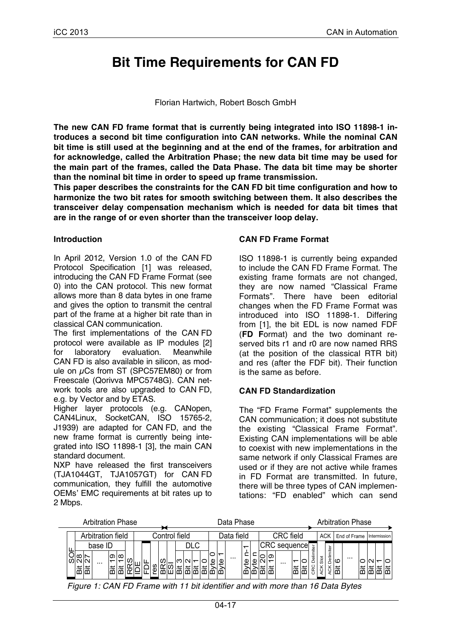# **Bit Time Requirements for CAN FD**

#### Florian Hartwich, Robert Bosch GmbH

**The new CAN FD frame format that is currently being integrated into ISO 11898-1 introduces a second bit time configuration into CAN networks. While the nominal CAN bit time is still used at the beginning and at the end of the frames, for arbitration and for acknowledge, called the Arbitration Phase; the new data bit time may be used for the main part of the frames, called the Data Phase. The data bit time may be shorter than the nominal bit time in order to speed up frame transmission.**

**This paper describes the constraints for the CAN FD bit time configuration and how to harmonize the two bit rates for smooth switching between them. It also describes the transceiver delay compensation mechanism which is needed for data bit times that are in the range of or even shorter than the transceiver loop delay.**

#### **Introduction**

In April 2012, Version 1.0 of the CAN FD Protocol Specification [1] was released, introducing the CAN FD Frame Format (see 0) into the CAN protocol. This new format allows more than 8 data bytes in one frame and gives the option to transmit the central part of the frame at a higher bit rate than in classical CAN communication.

The first implementations of the CAN FD protocol were available as IP modules [2] for laboratory evaluation. Meanwhile CAN FD is also available in silicon, as module on  $\mu$ Cs from ST (SPC57EM80) or from Freescale (Qorivva MPC5748G). CAN network tools are also upgraded to CAN FD, e.g. by Vector and by ETAS.

Higher layer protocols (e.g. CANopen, CAN4Linux, SocketCAN, ISO 15765-2, J1939) are adapted for CAN FD, and the new frame format is currently being integrated into ISO 11898-1 [3], the main CAN standard document.

NXP have released the first transceivers (TJA1044GT, TJA1057GT) for CAN FD communication, they fulfill the automotive OEMs' EMC requirements at bit rates up to 2 Mbps.

#### **CAN FD Frame Format**

ISO 11898-1 is currently being expanded to include the CAN FD Frame Format. The existing frame formats are not changed, they are now named "Classical Frame Formats". There have been editorial changes when the FD Frame Format was introduced into ISO 11898-1. Differing from [1], the bit EDL is now named FDF (**FD F**ormat) and the two dominant reserved bits r1 and r0 are now named RRS (at the position of the classical RTR bit) and res (after the FDF bit). Their function is the same as before.

### **CAN FD Standardization**

The "FD Frame Format" supplements the CAN communication; it does not substitute the existing "Classical Frame Format". Existing CAN implementations will be able to coexist with new implementations in the same network if only Classical Frames are used or if they are not active while frames in FD Format are transmitted. In future, there will be three types of CAN implementations: "FD enabled" which can send

| <b>Arbitration Phase</b> |                   |                           |                     |                   |  |  |  |               | Data Phase |  |     |  |            |  |  |   |          |                  | <b>Arbitration Phase</b> |  |  |                           |            |        |           |   |                           |           |          |  |   |      |  |
|--------------------------|-------------------|---------------------------|---------------------|-------------------|--|--|--|---------------|------------|--|-----|--|------------|--|--|---|----------|------------------|--------------------------|--|--|---------------------------|------------|--------|-----------|---|---------------------------|-----------|----------|--|---|------|--|
|                          | Arbitration field |                           |                     |                   |  |  |  | Control field |            |  |     |  | Data field |  |  |   |          | <b>CRC</b> field |                          |  |  |                           | <b>ACK</b> |        |           |   | End of Frame Intermission |           |          |  |   |      |  |
|                          |                   | ∞<br>N <sub>N</sub><br>崗崗 | base ID<br>$\cdots$ | ത $ \infty $<br>≔ |  |  |  |               | ഗ          |  | MMM |  | DLC        |  |  | Φ | $\cdots$ | Φ                |                          |  |  | ⊩CRC sequence<br>$\cdots$ | ä          | ○<br>ä | iter<br>Φ | ळ | elimiter<br>$\circ$       | മ∣മ<br>lä | $\cdots$ |  | ≃ | هاها |  |

*Figure 1: CAN FD Frame with 11 bit identifier and with more than 16 Data Bytes*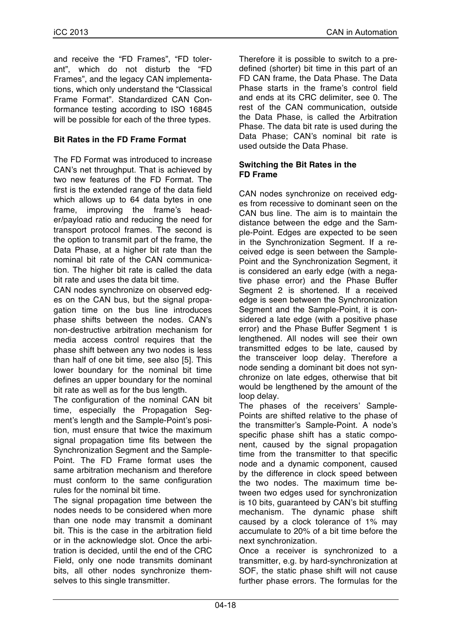and receive the "FD Frames", "FD tolerant", which do not disturb the "FD Frames", and the legacy CAN implementations, which only understand the "Classical Frame Format". Standardized CAN Conformance testing according to ISO 16845 will be possible for each of the three types.

### **Bit Rates in the FD Frame Format**

The FD Format was introduced to increase CAN's net throughput. That is achieved by two new features of the FD Format. The first is the extended range of the data field which allows up to 64 data bytes in one frame, improving the frame's header/payload ratio and reducing the need for transport protocol frames. The second is the option to transmit part of the frame, the Data Phase, at a higher bit rate than the nominal bit rate of the CAN communication. The higher bit rate is called the data bit rate and uses the data bit time.

CAN nodes synchronize on observed edges on the CAN bus, but the signal propagation time on the bus line introduces phase shifts between the nodes. CAN's non-destructive arbitration mechanism for media access control requires that the phase shift between any two nodes is less than half of one bit time, see also [5]. This lower boundary for the nominal bit time defines an upper boundary for the nominal bit rate as well as for the bus length.

The configuration of the nominal CAN bit time, especially the Propagation Segment's length and the Sample-Point's position, must ensure that twice the maximum signal propagation time fits between the Synchronization Segment and the Sample-Point. The FD Frame format uses the same arbitration mechanism and therefore must conform to the same configuration rules for the nominal bit time.

The signal propagation time between the nodes needs to be considered when more than one node may transmit a dominant bit. This is the case in the arbitration field or in the acknowledge slot. Once the arbitration is decided, until the end of the CRC Field, only one node transmits dominant bits, all other nodes synchronize themselves to this single transmitter.

Therefore it is possible to switch to a predefined (shorter) bit time in this part of an FD CAN frame, the Data Phase. The Data Phase starts in the frame's control field and ends at its CRC delimiter, see 0. The rest of the CAN communication, outside the Data Phase, is called the Arbitration Phase. The data bit rate is used during the Data Phase; CAN's nominal bit rate is used outside the Data Phase.

#### **Switching the Bit Rates in the FD Frame**

CAN nodes synchronize on received edges from recessive to dominant seen on the CAN bus line. The aim is to maintain the distance between the edge and the Sample-Point. Edges are expected to be seen in the Synchronization Segment. If a received edge is seen between the Sample-Point and the Synchronization Segment, it is considered an early edge (with a negative phase error) and the Phase Buffer Segment 2 is shortened. If a received edge is seen between the Synchronization Segment and the Sample-Point, it is considered a late edge (with a positive phase error) and the Phase Buffer Segment 1 is lengthened. All nodes will see their own transmitted edges to be late, caused by the transceiver loop delay. Therefore a node sending a dominant bit does not synchronize on late edges, otherwise that bit would be lengthened by the amount of the loop delay.

The phases of the receivers' Sample-Points are shifted relative to the phase of the transmitter's Sample-Point. A node's specific phase shift has a static component, caused by the signal propagation time from the transmitter to that specific node and a dynamic component, caused by the difference in clock speed between the two nodes. The maximum time between two edges used for synchronization is 10 bits, guaranteed by CAN's bit stuffing mechanism. The dynamic phase shift caused by a clock tolerance of 1% may accumulate to 20% of a bit time before the next synchronization.

Once a receiver is synchronized to a transmitter, e.g. by hard-synchronization at SOF, the static phase shift will not cause further phase errors. The formulas for the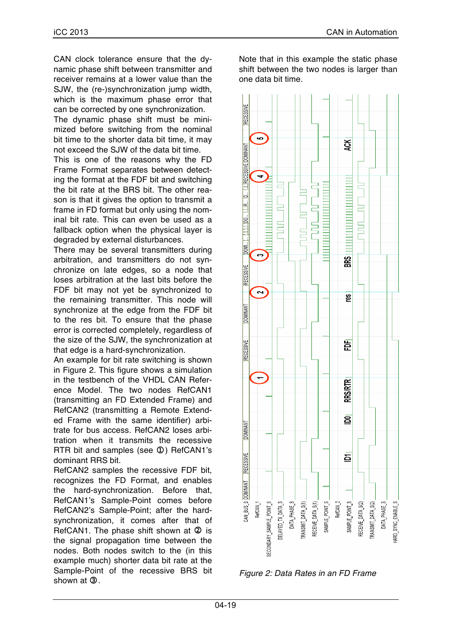CAN clock tolerance ensure that the dynamic phase shift between transmitter and receiver remains at a lower value than the SJW, the (re-)synchronization jump width, which is the maximum phase error that can be corrected by one synchronization.

The dynamic phase shift must be minimized before switching from the nominal bit time to the shorter data bit time, it may not exceed the SJW of the data bit time.

This is one of the reasons why the FD Frame Format separates between detecting the format at the FDF bit and switching the bit rate at the BRS bit. The other reason is that it gives the option to transmit a frame in FD format but only using the nominal bit rate. This can even be used as a fallback option when the physical layer is degraded by external disturbances.

There may be several transmitters during arbitration, and transmitters do not synchronize on late edges, so a node that loses arbitration at the last bits before the FDF bit may not yet be synchronized to the remaining transmitter. This node will synchronize at the edge from the FDF bit to the res bit. To ensure that the phase error is corrected completely, regardless of the size of the SJW, the synchronization at that edge is a hard-synchronization.

An example for bit rate switching is shown in Figure 2. This figure shows a simulation in the testbench of the VHDL CAN Reference Model. The two nodes RefCAN1 (transmitting an FD Extended Frame) and RefCAN2 (transmitting a Remote Extended Frame with the same identifier) arbitrate for bus access. RefCAN2 loses arbitration when it transmits the recessive RTR bit and samples (see  $\Phi$ ) RefCAN1's dominant RRS bit.

RefCAN2 samples the recessive FDF bit, recognizes the FD Format, and enables the hard-synchronization. Before that, RefCAN1's Sample-Point comes before RefCAN2's Sample-Point; after the hardsynchronization, it comes after that of RefCAN1. The phase shift shown at  $@$  is the signal propagation time between the nodes. Both nodes switch to the (in this example much) shorter data bit rate at the Sample-Point of the recessive BRS bit shown at  $(3)$ 

Note that in this example the static phase shift between the two nodes is larger than one data bit time.



*Figure 2: Data Rates in an FD Frame*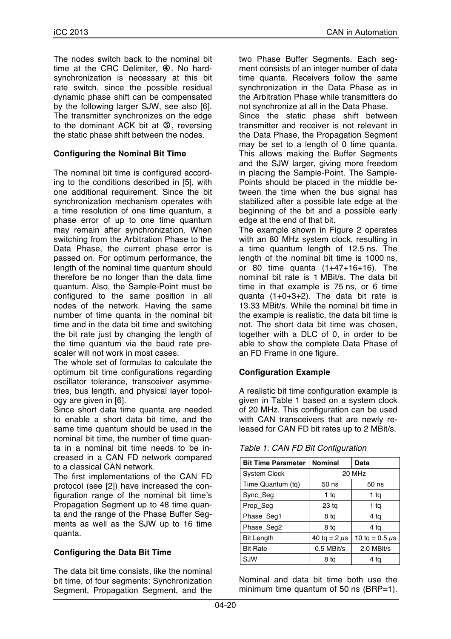The nodes switch back to the nominal bit time at the CRC Delimiter,  $\Phi$ . No hardsynchronization is necessary at this bit rate switch, since the possible residual dynamic phase shift can be compensated by the following larger SJW, see also [6]. The transmitter synchronizes on the edge to the dominant ACK bit at **5**, reversing the static phase shift between the nodes.

### **Configuring the Nominal Bit Time**

The nominal bit time is configured according to the conditions described in [5], with one additional requirement. Since the bit synchronization mechanism operates with a time resolution of one time quantum, a phase error of up to one time quantum may remain after synchronization. When switching from the Arbitration Phase to the Data Phase, the current phase error is passed on. For optimum performance, the length of the nominal time quantum should therefore be no longer than the data time quantum. Also, the Sample-Point must be configured to the same position in all nodes of the network. Having the same number of time quanta in the nominal bit time and in the data bit time and switching the bit rate just by changing the length of the time quantum via the baud rate prescaler will not work in most cases.

The whole set of formulas to calculate the optimum bit time configurations regarding oscillator tolerance, transceiver asymmetries, bus length, and physical layer topology are given in [6].

Since short data time quanta are needed to enable a short data bit time, and the same time quantum should be used in the nominal bit time, the number of time quanta in a nominal bit time needs to be increased in a CAN FD network compared to a classical CAN network.

The first implementations of the CAN FD protocol (see [2]) have increased the configuration range of the nominal bit time's Propagation Segment up to 48 time quanta and the range of the Phase Buffer Segments as well as the SJW up to 16 time quanta.

### **Configuring the Data Bit Time**

The data bit time consists, like the nominal bit time, of four segments: Synchronization Segment, Propagation Segment, and the two Phase Buffer Segments. Each segment consists of an integer number of data time quanta. Receivers follow the same synchronization in the Data Phase as in the Arbitration Phase while transmitters do not synchronize at all in the Data Phase.

Since the static phase shift between transmitter and receiver is not relevant in the Data Phase, the Propagation Segment may be set to a length of 0 time quanta. This allows making the Buffer Segments and the SJW larger, giving more freedom in placing the Sample-Point. The Sample-Points should be placed in the middle between the time when the bus signal has stabilized after a possible late edge at the beginning of the bit and a possible early edge at the end of that bit.

The example shown in Figure 2 operates with an 80 MHz system clock, resulting in a time quantum length of 12.5 ns. The length of the nominal bit time is 1000 ns, or 80 time quanta (1+47+16+16). The nominal bit rate is 1 MBit/s. The data bit time in that example is 75 ns, or 6 time quanta (1+0+3+2). The data bit rate is 13.33 MBit/s. While the nominal bit time in the example is realistic, the data bit time is not. The short data bit time was chosen, together with a DLC of 0, in order to be able to show the complete Data Phase of an FD Frame in one figure.

### **Configuration Example**

A realistic bit time configuration example is given in Table 1 based on a system clock of 20 MHz. This configuration can be used with CAN transceivers that are newly released for CAN FD bit rates up to 2 MBit/s.

| <b>Bit Time Parameter</b> | <b>Nominal</b>    | Data                  |  |  |  |  |  |  |
|---------------------------|-------------------|-----------------------|--|--|--|--|--|--|
| <b>System Clock</b>       | 20 MHz            |                       |  |  |  |  |  |  |
| Time Quantum (tg)         | 50 ns             | 50 ns                 |  |  |  |  |  |  |
| Sync_Seg                  | 1 ta              | 1 ta                  |  |  |  |  |  |  |
| Prop_Seg                  | 23 <sub>tq</sub>  | 1 ta                  |  |  |  |  |  |  |
| Phase Seg1                | 8 tq              | 4 tq                  |  |  |  |  |  |  |
| Phase Seg2                | 8 ta              | 4 ta                  |  |  |  |  |  |  |
| <b>Bit Length</b>         | 40 tg = 2 $\mu$ s | 10 tq = $0.5 \,\mu s$ |  |  |  |  |  |  |
| <b>Bit Rate</b>           | 0.5 MBit/s        | 2.0 MBit/s            |  |  |  |  |  |  |
| SJW                       | 8 ta              | 4 ta                  |  |  |  |  |  |  |

*Table 1: CAN FD Bit Configuration*

Nominal and data bit time both use the minimum time quantum of 50 ns (BRP=1).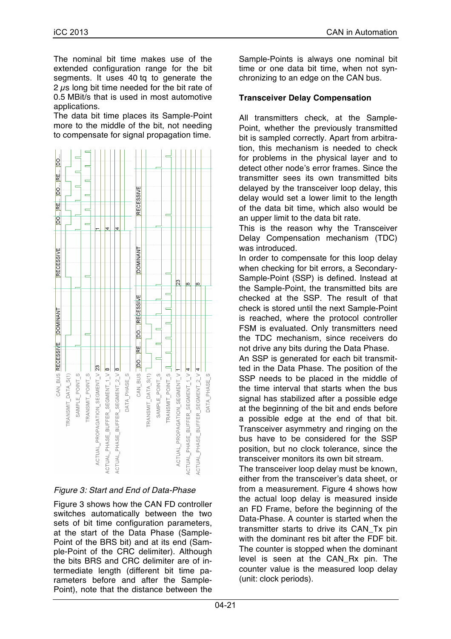The nominal bit time makes use of the extended configuration range for the bit segments. It uses 40 tq to generate the 2  $\mu$ s long bit time needed for the bit rate of 0.5 MBit/s that is used in most automotive applications.

The data bit time places its Sample-Point more to the middle of the bit, not needing to compensate for signal propagation time.



# *Figure 3: Start and End of Data-Phase*

Figure 3 shows how the CAN FD controller switches automatically between the two sets of bit time configuration parameters, at the start of the Data Phase (Sample-Point of the BRS bit) and at its end (Sample-Point of the CRC delimiter). Although the bits BRS and CRC delimiter are of intermediate length (different bit time parameters before and after the Sample-Point), note that the distance between the

Sample-Points is always one nominal bit time or one data bit time, when not synchronizing to an edge on the CAN bus.

## **Transceiver Delay Compensation**

All transmitters check, at the Sample-Point, whether the previously transmitted bit is sampled correctly. Apart from arbitration, this mechanism is needed to check for problems in the physical layer and to detect other node's error frames. Since the transmitter sees its own transmitted bits delayed by the transceiver loop delay, this delay would set a lower limit to the length of the data bit time, which also would be an upper limit to the data bit rate.

This is the reason why the Transceiver Delay Compensation mechanism (TDC) was introduced.

In order to compensate for this loop delay when checking for bit errors, a Secondary-Sample-Point (SSP) is defined. Instead at the Sample-Point, the transmitted bits are checked at the SSP. The result of that check is stored until the next Sample-Point is reached, where the protocol controller FSM is evaluated. Only transmitters need the TDC mechanism, since receivers do not drive any bits during the Data Phase.

An SSP is generated for each bit transmitted in the Data Phase. The position of the SSP needs to be placed in the middle of the time interval that starts when the bus signal has stabilized after a possible edge at the beginning of the bit and ends before a possible edge at the end of that bit. Transceiver asymmetry and ringing on the bus have to be considered for the SSP position, but no clock tolerance, since the transceiver monitors its own bit stream.

The transceiver loop delay must be known, either from the transceiver's data sheet, or from a measurement. Figure 4 shows how the actual loop delay is measured inside an FD Frame, before the beginning of the Data-Phase. A counter is started when the transmitter starts to drive its CAN\_Tx pin with the dominant res bit after the FDF bit. The counter is stopped when the dominant level is seen at the CAN\_Rx pin. The counter value is the measured loop delay (unit: clock periods).